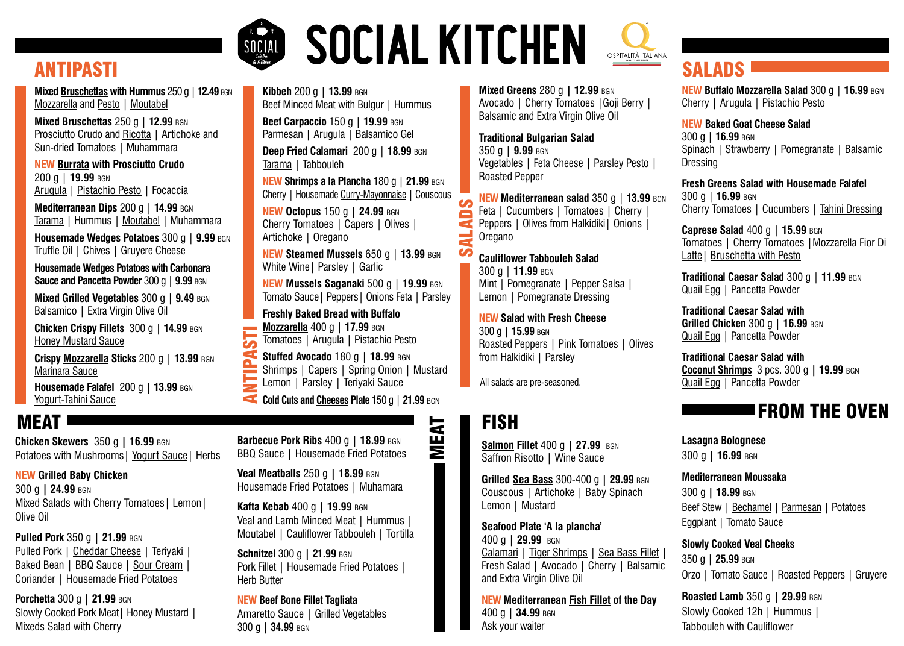**Veal Meatballs** 250 g **| 18.99** bgn Housemade Fried Potatoes | Muhamara

**Kafta Kebab** 400 g **| 19.99** bgn Veal and Lamb Minced Meat | Hummus | Moutabel | Cauliflower Tabbouleh | Tortilla

# **SOCIAL KITCHEN** ANTIPASTI SALADS

**Schnitzel** 300 g **| 21.99** bgn Pork Fillet | Housemade Fried Potatoes | Herb Butter

**NEW Beef Bone Fillet Tagliata**  Amaretto Sauce | Grilled Vegetables 300 g **| 34.99** bgn

**Mixed Greens** 280 g **| 12.99** bgn Avocado | Cherry Tomatoes |Goji Berry | Balsamic and Extra Virgin Olive Oil

**Mixed Bruschettas with Hummus** 250 g | 12.49 BGN Mozzarella and Pesto | Moutabel

**Traditional Bulgarian Salad** 

**Mixed Bruschettas** 250 g | 12.99 BGN Prosciutto Crudo and Ricotta | Artichoke and Sun-dried Tomatoes | Muhammara

350 g | **9.99** bgn Vegetables | Feta Cheese | Parsley Pesto | Roasted Pepper

**NEW Mediterranean salad** 350 g | **13.99** bgn Feta | Cucumbers | Tomatoes | Cherry | Peppers | Olives from Halkidiki | Onions | Oregano

**Housemade Wedges Potatoes with Carbonara Sauce and Pancetta Powder** 300 g | 9.99 BGN

**Mixed Grilled Vegetables 300 g | 9.49 BGN** Balsamico | Extra Virgin Olive Oil

**Chicken Crispy Fillets 300 g | 14.99 BGN** Honey Mustard Sauce

**Cauliflower Tabbouleh Salad** 300 g | **11.99** bgn Mint | Pomegranate | Pepper Salsa | Lemon | Pomegranate Dressing

**NEW Salad with Fresh Cheese**

300 g | **15.99** bgn Roasted Peppers | Pink Tomatoes | Olives from Halkidiki | Parsley

**Deep Fried Calamari** 200 g | 18.99 BGN Tarama | Tabbouleh

**NEW Burrata with Prosciutto Crudo**  200 g | **19.99** bgn Arugula | Pistachio Pesto | Focaccia

**Mediterranean Dips** 200 g | **14.99** bgn Tarama | Hummus | Moutabel | Muhammara

**Housemade Wedges Potatoes** 300 g | **9.99** bgn Truffle Oil | Chives | Gruyere Cheese

**Pulled Pork 350 g | 21.99 BGN** Pulled Pork | Cheddar Cheese | Teriyaki | Baked Bean | BBQ Sauce | Sour Cream | Coriander | Housemade Fried Potatoes

**Caprese Salad** 400 g | **15.99** bgn Tomatoes | Cherry Tomatoes | Mozzarella Fior Di Latte | Bruschetta with Pesto

**Crispy Mozzarella Sticks** 200 g | **13.99** bgn Marinara Sauce

**Housemade Falafel** 200 g | **13.99** bgn Yogurt-Tahini Sauce

### **MEAT**

**Kibbeh** 200 g | **13.99** bgn Beef Minced Meat with Bulgur | Hummus

> **Salmon Fillet 400 g | 27.99 BGN** Saffron Risotto | Wine Sauce

**Beef Carpaccio** 150 g | **19.99** bgn Parmesan | Arugula | Balsamico Gel

**NEW Shrimps a la Plancha** 180 g | **21.99** bgn Cherry | Housemade Curry-Mayonnaise | Couscous

**NEW Octopus** 150 g | **24.99** bgn Cherry Tomatoes | Capers | Olives | Artichoke | Oregano

**NEW Steamed Mussels** 650 g | **13.99** bgn White Wine| Parsley | Garlic

**NEW Mussels Saganaki** 500 g | **19.99** bgn Tomato Sauce| Peppers| Onions Feta | Parsley

**Freshly Baked Bread with Buffalo Mozzarella** 400 g | **17.99** bgn  $\overline{\mathbf{z}}$ Tomatoes | Arugula | Pistachio Pesto

**Cold Cuts and Cheeses Plate** 150 g | **21.99** bgn

**Barbecue Pork Ribs 400 g | 18.99 BGN BBQ Sauce | Housemade Fried Potatoes** 

**Chicken Skewers** 350 g **| 16.99** bgn Potatoes with Mushrooms| Yogurt Sauce| Herbs

**NEW Grilled Baby Chicken** 300 g **| 24.99** bgn Mixed Salads with Cherry Tomatoes| Lemon| Olive Oil

ANTIPASTI Ξ **Stuffed Avocado** 180 g | 18.99 BGN Shrimps | Capers | Spring Onion | Mustard Lemon | Parsley | Teriyaki Sauce

**Porchetta** 300 g **| 21.99** bgn Slowly Cooked Pork Meat | Honey Mustard | Mixeds Salad with Cherry

SALADS



MEAT

**NEW Buffalo Mozzarella Salad** 300 g | **16.99** bgn Cherry **|** Arugula | Pistachio Pesto

**NEW Baked Goat Cheese Salad**  300 g | **16.99** bgn Spinach | Strawberry | Pomegranate | Balsamic Dressing

**Fresh Greens Salad with Housemade Falafel** 300 g | **16.99** bgn Cherry Tomatoes | Cucumbers | Tahini Dressing

**Traditional Caesar Salad** 300 g | **11.99** bgn Quail Egg | Pancetta Powder

**Traditional Caesar Salad with Grilled Chicken** 300 g | **16.99** bgn Quail Egg | Pancetta Powder

**Traditional Caesar Salad with Coconut Shrimps** 3 pcs. 300 g **| 19.99** bgn Quail Egg | Pancetta Powder

**Grilled Sea Bass** 300-400 g **| 29.99** bgn Couscous | Artichoke | Baby Spinach Lemon | Mustard

**Seafood Plate 'A la plancha'**  400 g | **29.99** bgn Calamari | Tiger Shrimps | Sea Bass Fillet Fresh Salad | Avocado | Cherry | Balsamic and Extra Virgin Olive Oil

**NEW Mediterranean Fish Fillet of the Day**  400 g **| 34.99** bgn Ask your waiter

All salads are pre-seasoned.

## **FISH**

**Lasagna Bolognese**  300 g **| 16.99** bgn

**Mediterranean Moussaka** 300 g **| 18.99** bgn Beef Stew | Bechamel | Parmesan | Potatoes Eggplant | Tomato Sauce

**Slowly Cooked Veal Cheeks** 350 g | **25.99** bgn Orzo | Tomato Sauce | Roasted Peppers | Gruyere

**Roasted Lamb** 350 g **| 29.99** bgn Slowly Cooked 12h | Hummus | Tabbouleh with Cauliflower

### FROM THE OVEN